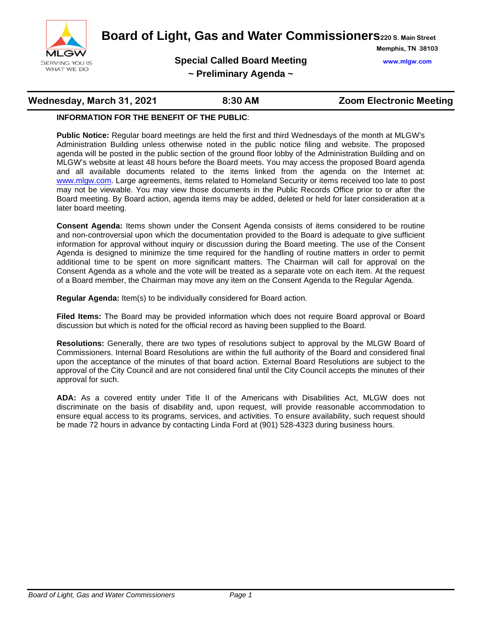

**Board of Light, Gas and Water Commissioners220 S. Main Street**

**Special Called Board Meeting www.mlgw.com**

**Memphis, TN 38103**

**~ Preliminary Agenda ~**

# **Wednesday, March 31, 2021 8:30 AM Zoom Electronic Meeting**

### **INFORMATION FOR THE BENEFIT OF THE PUBLIC**:

**Public Notice:** Regular board meetings are held the first and third Wednesdays of the month at MLGW's Administration Building unless otherwise noted in the public notice filing and website. The proposed agenda will be posted in the public section of the ground floor lobby of the Administration Building and on MLGW's website at least 48 hours before the Board meets. You may access the proposed Board agenda and all available documents related to the items linked from the agenda on the Internet at: [www.mlgw.com.](http://www.mlgw.com/) Large agreements, items related to Homeland Security or items received too late to post may not be viewable. You may view those documents in the Public Records Office prior to or after the Board meeting. By Board action, agenda items may be added, deleted or held for later consideration at a later board meeting.

**Consent Agenda:** Items shown under the Consent Agenda consists of items considered to be routine and non-controversial upon which the documentation provided to the Board is adequate to give sufficient information for approval without inquiry or discussion during the Board meeting. The use of the Consent Agenda is designed to minimize the time required for the handling of routine matters in order to permit additional time to be spent on more significant matters. The Chairman will call for approval on the Consent Agenda as a whole and the vote will be treated as a separate vote on each item. At the request of a Board member, the Chairman may move any item on the Consent Agenda to the Regular Agenda.

**Regular Agenda:** Item(s) to be individually considered for Board action.

**Filed Items:** The Board may be provided information which does not require Board approval or Board discussion but which is noted for the official record as having been supplied to the Board.

**Resolutions:** Generally, there are two types of resolutions subject to approval by the MLGW Board of Commissioners. Internal Board Resolutions are within the full authority of the Board and considered final upon the acceptance of the minutes of that board action. External Board Resolutions are subject to the approval of the City Council and are not considered final until the City Council accepts the minutes of their approval for such.

**ADA:** As a covered entity under Title II of the Americans with Disabilities Act, MLGW does not discriminate on the basis of disability and, upon request, will provide reasonable accommodation to ensure equal access to its programs, services, and activities. To ensure availability, such request should be made 72 hours in advance by contacting Linda Ford at (901) 528-4323 during business hours.